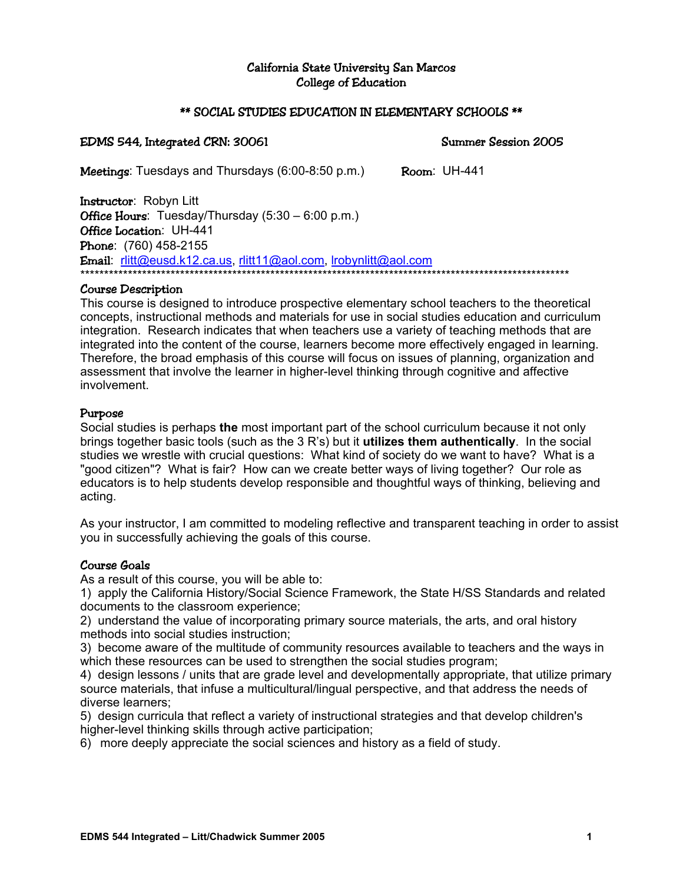### California State University San Marcos College of Education

#### \*\* SOCIAL STUDIES EDUCATION IN ELEMENTARY SCHOOLS \*\*

#### EDMS 544, Integrated CRN: 30061 Summer Session 2005

Meetings: Tuesdays and Thursdays (6:00-8:50 p.m.) Room: UH-441

Instructor: Robyn Litt **Office Hours:** Tuesday/Thursday (5:30 – 6:00 p.m.) Office Location: UH-441 Phone: (760) 458-2155 Email: rlitt@eusd.k12.ca.us, rlitt11@aol.com, lrobynlitt@aol.com \*\*\*\*\*\*\*\*\*\*\*\*\*\*\*\*\*\*\*\*\*\*\*\*\*\*\*\*\*\*\*\*\*\*\*\*\*\*\*\*\*\*\*\*\*\*\*\*\*\*\*\*\*\*\*\*\*\*\*\*\*\*\*\*\*\*\*\*\*\*\*\*\*\*\*\*\*\*\*\*\*\*\*\*\*\*\*\*\*\*\*\*\*\*\*\*\*\*\*\*\*\*\*

### Course Description

This course is designed to introduce prospective elementary school teachers to the theoretical concepts, instructional methods and materials for use in social studies education and curriculum integration. Research indicates that when teachers use a variety of teaching methods that are integrated into the content of the course, learners become more effectively engaged in learning. Therefore, the broad emphasis of this course will focus on issues of planning, organization and assessment that involve the learner in higher-level thinking through cognitive and affective involvement.

#### Purpose

Social studies is perhaps **the** most important part of the school curriculum because it not only brings together basic tools (such as the 3 R's) but it **utilizes them authentically**. In the social studies we wrestle with crucial questions: What kind of society do we want to have? What is a "good citizen"? What is fair? How can we create better ways of living together? Our role as educators is to help students develop responsible and thoughtful ways of thinking, believing and acting.

As your instructor, I am committed to modeling reflective and transparent teaching in order to assist you in successfully achieving the goals of this course.

### Course Goals

As a result of this course, you will be able to:

1) apply the California History/Social Science Framework, the State H/SS Standards and related documents to the classroom experience;

2) understand the value of incorporating primary source materials, the arts, and oral history methods into social studies instruction;

3) become aware of the multitude of community resources available to teachers and the ways in which these resources can be used to strengthen the social studies program;

4) design lessons / units that are grade level and developmentally appropriate, that utilize primary source materials, that infuse a multicultural/lingual perspective, and that address the needs of diverse learners;

5) design curricula that reflect a variety of instructional strategies and that develop children's higher-level thinking skills through active participation;

6) more deeply appreciate the social sciences and history as a field of study.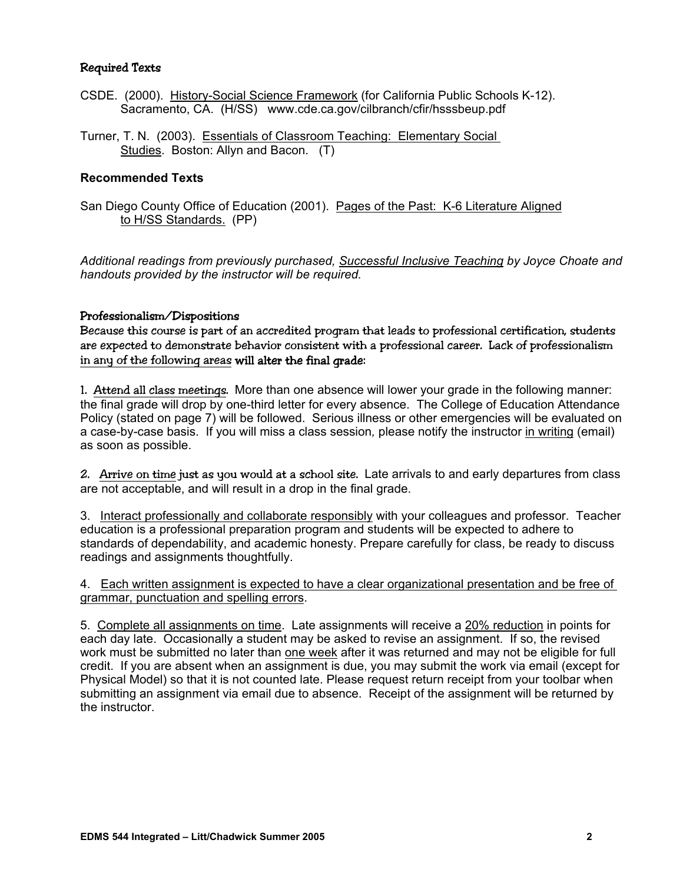### Required Texts

- CSDE. (2000). History-Social Science Framework (for California Public Schools K-12). Sacramento, CA. (H/SS) www.cde.ca.gov/cilbranch/cfir/hsssbeup.pdf
- Turner, T. N. (2003). Essentials of Classroom Teaching: Elementary Social Studies. Boston: Allyn and Bacon. (T)

### **Recommended Texts**

San Diego County Office of Education (2001). Pages of the Past: K-6 Literature Aligned to H/SS Standards. (PP)

*Additional readings from previously purchased, Successful Inclusive Teaching by Joyce Choate and handouts provided by the instructor will be required.* 

#### Professionalism/Dispositions

Because this course is part of an accredited program that leads to professional certification, students are expected to demonstrate behavior consistent with a professional career. Lack of professionalism in any of the following areas will alter the final grade:

1. Attend all class meetings. More than one absence will lower your grade in the following manner: the final grade will drop by one-third letter for every absence. The College of Education Attendance Policy (stated on page 7) will be followed. Serious illness or other emergencies will be evaluated on a case-by-case basis. If you will miss a class session*,* please notify the instructor in writing (email) as soon as possible.

2. Arrive on time just as you would at a school site. Late arrivals to and early departures from class are not acceptable, and will result in a drop in the final grade.

3. Interact professionally and collaborate responsibly with your colleagues and professor. Teacher education is a professional preparation program and students will be expected to adhere to standards of dependability, and academic honesty. Prepare carefully for class, be ready to discuss readings and assignments thoughtfully.

4. Each written assignment is expected to have a clear organizational presentation and be free of grammar, punctuation and spelling errors.

5. Complete all assignments on time. Late assignments will receive a 20% reduction in points for each day late. Occasionally a student may be asked to revise an assignment. If so, the revised work must be submitted no later than one week after it was returned and may not be eligible for full credit. If you are absent when an assignment is due, you may submit the work via email (except for Physical Model) so that it is not counted late. Please request return receipt from your toolbar when submitting an assignment via email due to absence. Receipt of the assignment will be returned by the instructor.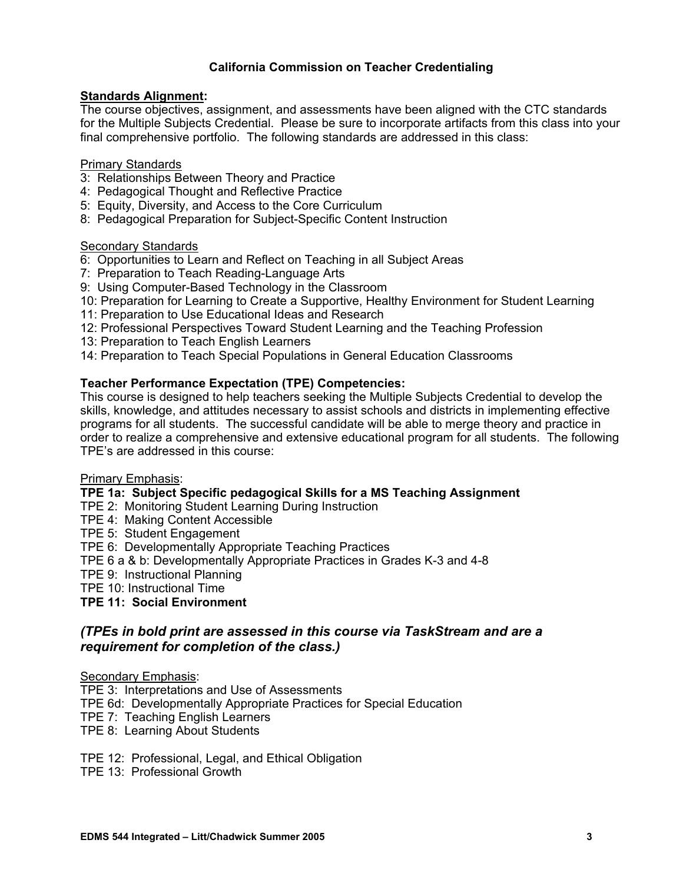# **California Commission on Teacher Credentialing**

### **Standards Alignment:**

The course objectives, assignment, and assessments have been aligned with the CTC standards for the Multiple Subjects Credential. Please be sure to incorporate artifacts from this class into your final comprehensive portfolio. The following standards are addressed in this class:

#### Primary Standards

- 3: Relationships Between Theory and Practice
- 4: Pedagogical Thought and Reflective Practice
- 5: Equity, Diversity, and Access to the Core Curriculum
- 8: Pedagogical Preparation for Subject-Specific Content Instruction

#### **Secondary Standards**

- 6: Opportunities to Learn and Reflect on Teaching in all Subject Areas
- 7: Preparation to Teach Reading-Language Arts
- 9: Using Computer-Based Technology in the Classroom
- 10: Preparation for Learning to Create a Supportive, Healthy Environment for Student Learning
- 11: Preparation to Use Educational Ideas and Research
- 12: Professional Perspectives Toward Student Learning and the Teaching Profession
- 13: Preparation to Teach English Learners
- 14: Preparation to Teach Special Populations in General Education Classrooms

### **Teacher Performance Expectation (TPE) Competencies:**

This course is designed to help teachers seeking the Multiple Subjects Credential to develop the skills, knowledge, and attitudes necessary to assist schools and districts in implementing effective programs for all students. The successful candidate will be able to merge theory and practice in order to realize a comprehensive and extensive educational program for all students. The following TPE's are addressed in this course:

# Primary Emphasis:

#### **TPE 1a: Subject Specific pedagogical Skills for a MS Teaching Assignment**

- TPE 2: Monitoring Student Learning During Instruction
- TPE 4: Making Content Accessible
- TPE 5: Student Engagement
- TPE 6: Developmentally Appropriate Teaching Practices
- TPE 6 a & b: Developmentally Appropriate Practices in Grades K-3 and 4-8
- TPE 9: Instructional Planning

TPE 10: Instructional Time

**TPE 11: Social Environment** 

# *(TPEs in bold print are assessed in this course via TaskStream and are a requirement for completion of the class.)*

#### Secondary Emphasis:

- TPE 3: Interpretations and Use of Assessments
- TPE 6d: Developmentally Appropriate Practices for Special Education
- TPE 7: Teaching English Learners
- TPE 8: Learning About Students
- TPE 12: Professional, Legal, and Ethical Obligation
- TPE 13: Professional Growth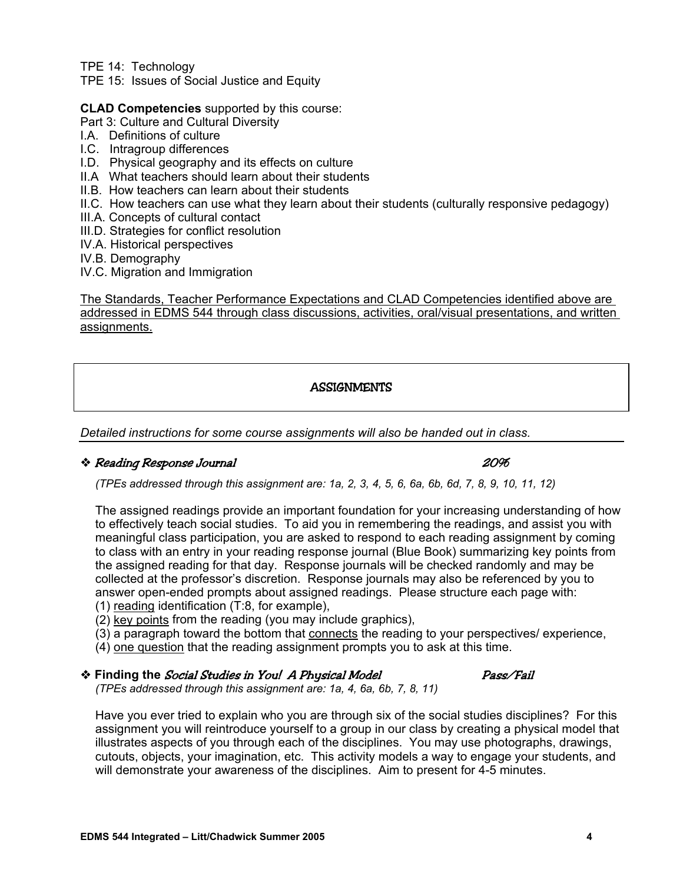TPE 14: Technology

TPE 15: Issues of Social Justice and Equity

**CLAD Competencies** supported by this course:

- Part 3: Culture and Cultural Diversity
- I.A. Definitions of culture
- I.C. Intragroup differences
- I.D. Physical geography and its effects on culture
- II.A What teachers should learn about their students
- II.B. How teachers can learn about their students
- II.C. How teachers can use what they learn about their students (culturally responsive pedagogy)
- III.A. Concepts of cultural contact
- III.D. Strategies for conflict resolution
- IV.A. Historical perspectives
- IV.B. Demography
- IV.C. Migration and Immigration

The Standards, Teacher Performance Expectations and CLAD Competencies identified above are addressed in EDMS 544 through class discussions, activities, oral/visual presentations, and written assignments.

# **ASSIGNMENTS**

*Detailed instructions for some course assignments will also be handed out in class.* 

### Reading Response Journal 20%

*(TPEs addressed through this assignment are: 1a, 2, 3, 4, 5, 6, 6a, 6b, 6d, 7, 8, 9, 10, 11, 12)* 

The assigned readings provide an important foundation for your increasing understanding of how to effectively teach social studies. To aid you in remembering the readings, and assist you with meaningful class participation, you are asked to respond to each reading assignment by coming to class with an entry in your reading response journal (Blue Book) summarizing key points from the assigned reading for that day. Response journals will be checked randomly and may be collected at the professor's discretion. Response journals may also be referenced by you to answer open-ended prompts about assigned readings. Please structure each page with: (1) reading identification (T:8, for example),

- (2) key points from the reading (you may include graphics),
- (3) a paragraph toward the bottom that connects the reading to your perspectives/ experience,
- (4) one question that the reading assignment prompts you to ask at this time.

## **Example 18 Finding the Social Studies in You! A Physical Model Fast Control Pass/Fail**

*(TPEs addressed through this assignment are: 1a, 4, 6a, 6b, 7, 8, 11)* 

Have you ever tried to explain who you are through six of the social studies disciplines? For this assignment you will reintroduce yourself to a group in our class by creating a physical model that illustrates aspects of you through each of the disciplines. You may use photographs, drawings, cutouts, objects, your imagination, etc. This activity models a way to engage your students, and will demonstrate your awareness of the disciplines. Aim to present for 4-5 minutes.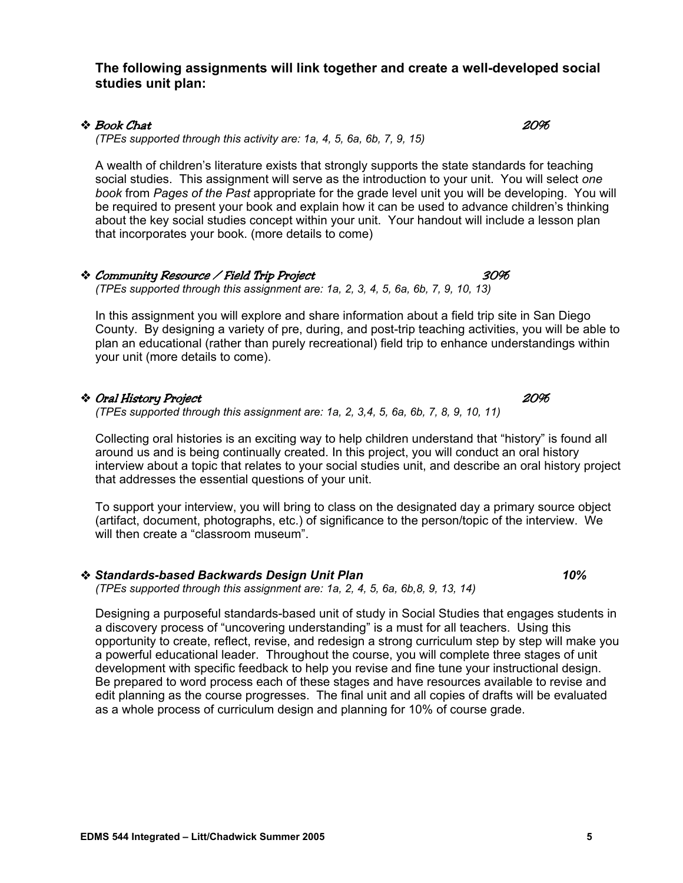### **The following assignments will link together and create a well-developed social studies unit plan:**

### $\bullet$  Book Chat  $20\%$

*(TPEs supported through this activity are: 1a, 4, 5, 6a, 6b, 7, 9, 15)* 

A wealth of children's literature exists that strongly supports the state standards for teaching social studies. This assignment will serve as the introduction to your unit. You will select *one book* from *Pages of the Past* appropriate for the grade level unit you will be developing. You will be required to present your book and explain how it can be used to advance children's thinking about the key social studies concept within your unit. Your handout will include a lesson plan that incorporates your book. (more details to come)

#### Community Resource / Field Trip Project 30%

*(TPEs supported through this assignment are: 1a, 2, 3, 4, 5, 6a, 6b, 7, 9, 10, 13)* 

In this assignment you will explore and share information about a field trip site in San Diego County. By designing a variety of pre, during, and post-trip teaching activities, you will be able to plan an educational (rather than purely recreational) field trip to enhance understandings within your unit (more details to come).

### Oral History Project 20%

*(TPEs supported through this assignment are: 1a, 2, 3,4, 5, 6a, 6b, 7, 8, 9, 10, 11)* 

Collecting oral histories is an exciting way to help children understand that "history" is found all around us and is being continually created. In this project, you will conduct an oral history interview about a topic that relates to your social studies unit, and describe an oral history project that addresses the essential questions of your unit.

To support your interview, you will bring to class on the designated day a primary source object (artifact, document, photographs, etc.) of significance to the person/topic of the interview. We will then create a "classroom museum".

 *Standards-based Backwards Design Unit Plan 10% (TPEs supported through this assignment are: 1a, 2, 4, 5, 6a, 6b,8, 9, 13, 14)* 

Designing a purposeful standards-based unit of study in Social Studies that engages students in a discovery process of "uncovering understanding" is a must for all teachers. Using this opportunity to create, reflect, revise, and redesign a strong curriculum step by step will make you a powerful educational leader. Throughout the course, you will complete three stages of unit development with specific feedback to help you revise and fine tune your instructional design. Be prepared to word process each of these stages and have resources available to revise and edit planning as the course progresses. The final unit and all copies of drafts will be evaluated as a whole process of curriculum design and planning for 10% of course grade.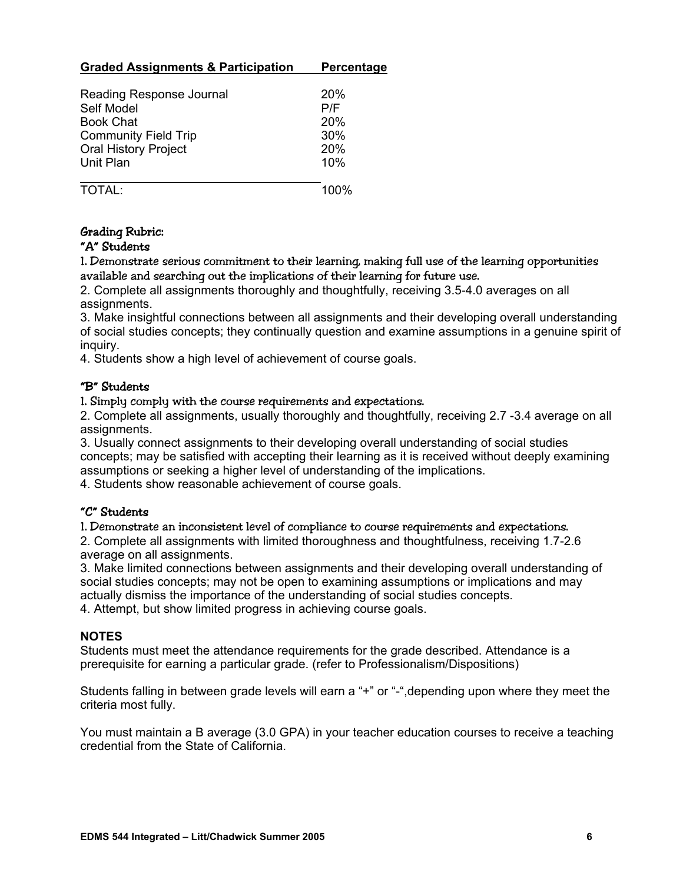# **Graded Assignments & Participation Percentage**

| Reading Response Journal<br>Self Model<br><b>Book Chat</b><br><b>Community Field Trip</b> | 20%<br>P/F<br>20%<br>30% |
|-------------------------------------------------------------------------------------------|--------------------------|
| <b>Oral History Project</b>                                                               | 20%                      |
| Unit Plan                                                                                 | 10%                      |

 $\overline{TOTAI}$   $\overline{IOTAI}$   $\overline{IO0\%}$ 

# Grading Rubric:

# "A" Students

1. Demonstrate serious commitment to their learning, making full use of the learning opportunities available and searching out the implications of their learning for future use.

2. Complete all assignments thoroughly and thoughtfully, receiving 3.5-4.0 averages on all assignments.

3. Make insightful connections between all assignments and their developing overall understanding of social studies concepts; they continually question and examine assumptions in a genuine spirit of inquiry.

4. Students show a high level of achievement of course goals.

### "B" Students

1. Simply comply with the course requirements and expectations.

2. Complete all assignments, usually thoroughly and thoughtfully, receiving 2.7 -3.4 average on all assignments.

3. Usually connect assignments to their developing overall understanding of social studies concepts; may be satisfied with accepting their learning as it is received without deeply examining assumptions or seeking a higher level of understanding of the implications.

4. Students show reasonable achievement of course goals.

# "C" Students

1. Demonstrate an inconsistent level of compliance to course requirements and expectations.

2. Complete all assignments with limited thoroughness and thoughtfulness, receiving 1.7-2.6 average on all assignments.

3. Make limited connections between assignments and their developing overall understanding of social studies concepts; may not be open to examining assumptions or implications and may actually dismiss the importance of the understanding of social studies concepts.

4. Attempt, but show limited progress in achieving course goals.

# **NOTES**

Students must meet the attendance requirements for the grade described. Attendance is a prerequisite for earning a particular grade. (refer to Professionalism/Dispositions)

Students falling in between grade levels will earn a "+" or "-",depending upon where they meet the criteria most fully.

You must maintain a B average (3.0 GPA) in your teacher education courses to receive a teaching credential from the State of California.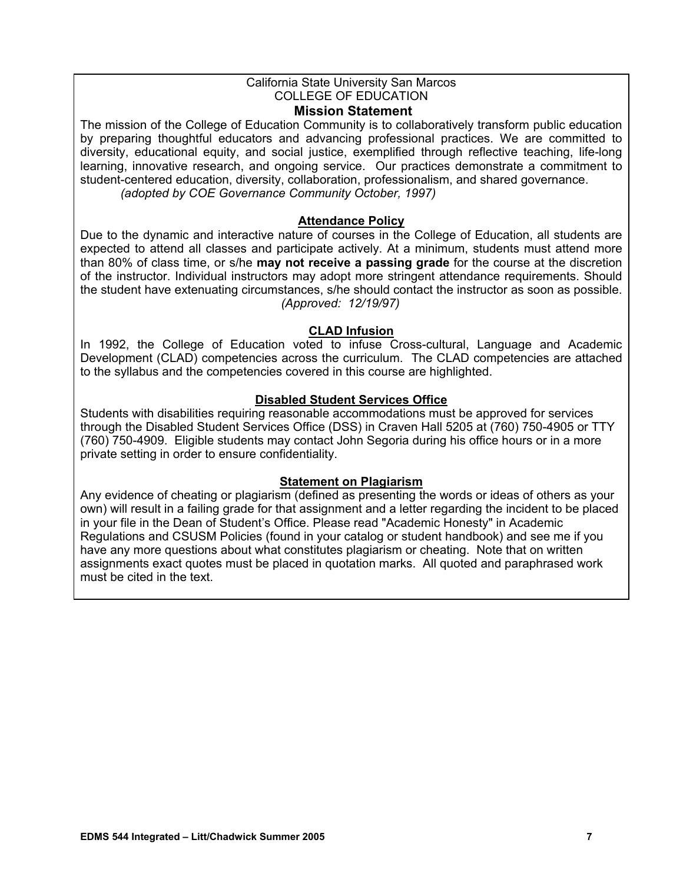### California State University San Marcos COLLEGE OF EDUCATION

### **Mission Statement**

The mission of the College of Education Community is to collaboratively transform public education by preparing thoughtful educators and advancing professional practices. We are committed to diversity, educational equity, and social justice, exemplified through reflective teaching, life-long learning, innovative research, and ongoing service. Our practices demonstrate a commitment to student-centered education, diversity, collaboration, professionalism, and shared governance. *(adopted by COE Governance Community October, 1997)*

### **Attendance Policy**

Due to the dynamic and interactive nature of courses in the College of Education, all students are expected to attend all classes and participate actively. At a minimum, students must attend more than 80% of class time, or s/he **may not receive a passing grade** for the course at the discretion of the instructor. Individual instructors may adopt more stringent attendance requirements. Should the student have extenuating circumstances, s/he should contact the instructor as soon as possible. *(Approved: 12/19/97)* 

### **CLAD Infusion**

In 1992, the College of Education voted to infuse Cross-cultural, Language and Academic Development (CLAD) competencies across the curriculum. The CLAD competencies are attached to the syllabus and the competencies covered in this course are highlighted.

### **Disabled Student Services Office**

Students with disabilities requiring reasonable accommodations must be approved for services through the Disabled Student Services Office (DSS) in Craven Hall 5205 at (760) 750-4905 or TTY (760) 750-4909. Eligible students may contact John Segoria during his office hours or in a more private setting in order to ensure confidentiality.

### **Statement on Plagiarism**

Any evidence of cheating or plagiarism (defined as presenting the words or ideas of others as your own) will result in a failing grade for that assignment and a letter regarding the incident to be placed in your file in the Dean of Student's Office. Please read "Academic Honesty" in Academic Regulations and CSUSM Policies (found in your catalog or student handbook) and see me if you have any more questions about what constitutes plagiarism or cheating. Note that on written assignments exact quotes must be placed in quotation marks. All quoted and paraphrased work must be cited in the text.